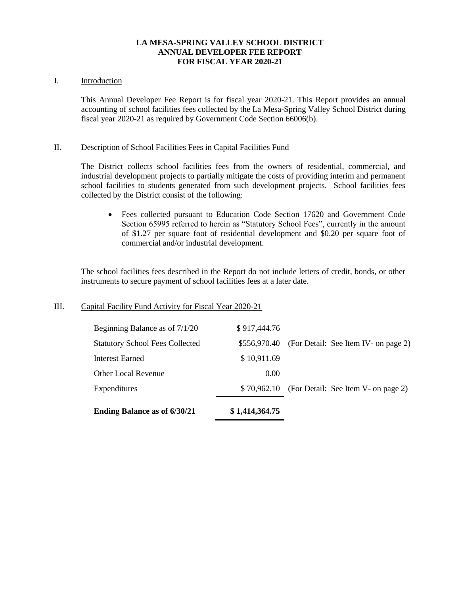## **LA MESA-SPRING VALLEY SCHOOL DISTRICT ANNUAL DEVELOPER FEE REPORT FOR FISCAL YEAR 2020-21**

## I. Introduction

This Annual Developer Fee Report is for fiscal year 2020-21. This Report provides an annual accounting of school facilities fees collected by the La Mesa-Spring Valley School District during fiscal year 2020-21 as required by Government Code Section 66006(b).

#### II. Description of School Facilities Fees in Capital Facilities Fund

The District collects school facilities fees from the owners of residential, commercial, and industrial development projects to partially mitigate the costs of providing interim and permanent school facilities to students generated from such development projects. School facilities fees collected by the District consist of the following:

• Fees collected pursuant to Education Code Section 17620 and Government Code Section 65995 referred to herein as "Statutory School Fees", currently in the amount of \$1.27 per square foot of residential development and \$0.20 per square foot of commercial and/or industrial development.

The school facilities fees described in the Report do not include letters of credit, bonds, or other instruments to secure payment of school facilities fees at a later date.

## III. Capital Facility Fund Activity for Fiscal Year 2020-21

| <b>Ending Balance as of 6/30/21</b>    | \$1,414,364.75 |                                                  |
|----------------------------------------|----------------|--------------------------------------------------|
| Expenditures                           |                | $$70,962.10$ (For Detail: See Item V- on page 2) |
| <b>Other Local Revenue</b>             | 0.00           |                                                  |
| Interest Earned                        | \$10,911.69    |                                                  |
| <b>Statutory School Fees Collected</b> | \$556,970.40   | (For Detail: See Item IV- on page 2)             |
| Beginning Balance as of 7/1/20         | \$917,444.76   |                                                  |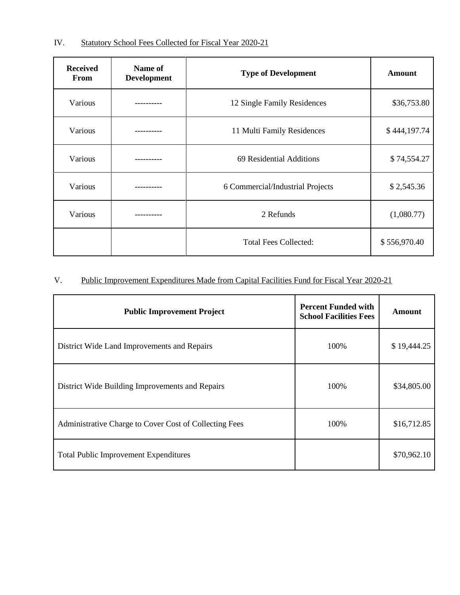| <b>Received</b><br><b>From</b> | Name of<br><b>Development</b> | <b>Type of Development</b>       | <b>Amount</b> |
|--------------------------------|-------------------------------|----------------------------------|---------------|
| Various                        |                               | 12 Single Family Residences      | \$36,753.80   |
| Various                        |                               | 11 Multi Family Residences       | \$444,197.74  |
| Various                        |                               | 69 Residential Additions         | \$74,554.27   |
| Various                        |                               | 6 Commercial/Industrial Projects | \$2,545.36    |
| Various                        |                               | 2 Refunds                        | (1,080.77)    |
|                                |                               | <b>Total Fees Collected:</b>     | \$556,970.40  |

# V. Public Improvement Expenditures Made from Capital Facilities Fund for Fiscal Year 2020-21

| <b>Public Improvement Project</b>                      | <b>Percent Funded with</b><br><b>School Facilities Fees</b> | <b>Amount</b> |
|--------------------------------------------------------|-------------------------------------------------------------|---------------|
| District Wide Land Improvements and Repairs            | 100\%                                                       | \$19,444.25   |
| District Wide Building Improvements and Repairs        | 100\%                                                       | \$34,805.00   |
| Administrative Charge to Cover Cost of Collecting Fees | 100%                                                        | \$16,712.85   |
| <b>Total Public Improvement Expenditures</b>           |                                                             | \$70,962.10   |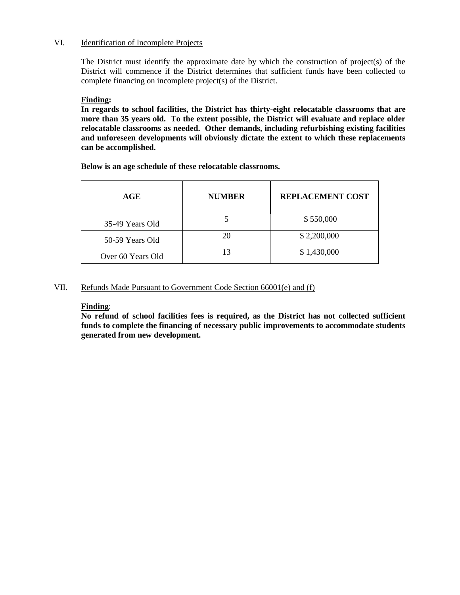## VI. Identification of Incomplete Projects

The District must identify the approximate date by which the construction of project(s) of the District will commence if the District determines that sufficient funds have been collected to complete financing on incomplete project(s) of the District.

### **Finding:**

**In regards to school facilities, the District has thirty-eight relocatable classrooms that are more than 35 years old. To the extent possible, the District will evaluate and replace older relocatable classrooms as needed. Other demands, including refurbishing existing facilities and unforeseen developments will obviously dictate the extent to which these replacements can be accomplished.**

**Below is an age schedule of these relocatable classrooms.**

| AGE               | <b>NUMBER</b> | <b>REPLACEMENT COST</b> |
|-------------------|---------------|-------------------------|
| 35-49 Years Old   |               | \$550,000               |
| 50-59 Years Old   | 20            | \$2,200,000             |
| Over 60 Years Old | 13            | \$1,430,000             |

## VII. Refunds Made Pursuant to Government Code Section 66001(e) and (f)

## **Finding**:

**No refund of school facilities fees is required, as the District has not collected sufficient funds to complete the financing of necessary public improvements to accommodate students generated from new development.**